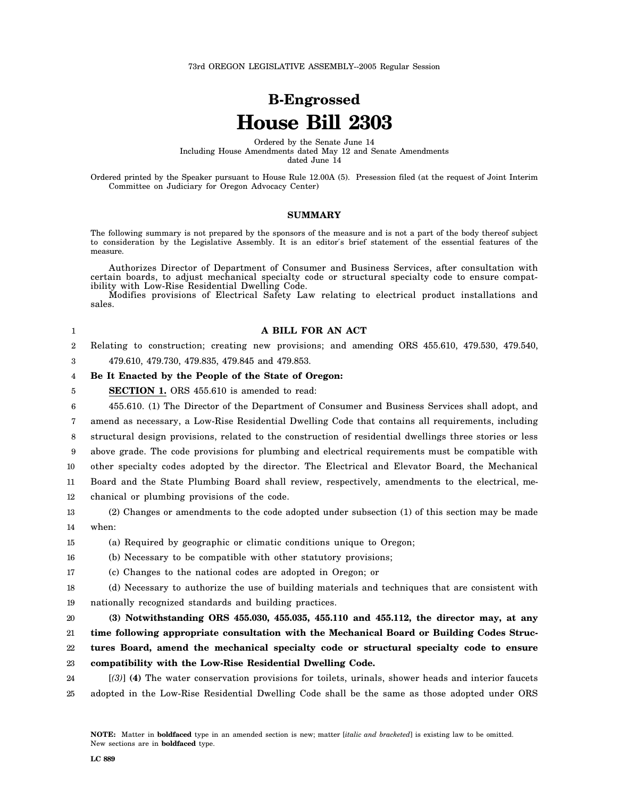# **B-Engrossed House Bill 2303**

Ordered by the Senate June 14 Including House Amendments dated May 12 and Senate Amendments dated June 14

Ordered printed by the Speaker pursuant to House Rule 12.00A (5). Presession filed (at the request of Joint Interim Committee on Judiciary for Oregon Advocacy Center)

#### **SUMMARY**

The following summary is not prepared by the sponsors of the measure and is not a part of the body thereof subject to consideration by the Legislative Assembly. It is an editor′s brief statement of the essential features of the measure.

Authorizes Director of Department of Consumer and Business Services, after consultation with certain boards, to adjust mechanical specialty code or structural specialty code to ensure compatibility with Low-Rise Residential Dwelling Code.

Modifies provisions of Electrical Safety Law relating to electrical product installations and sales.

3

5

## **A BILL FOR AN ACT**

2 Relating to construction; creating new provisions; and amending ORS 455.610, 479.530, 479.540,

479.610, 479.730, 479.835, 479.845 and 479.853.

#### 4 **Be It Enacted by the People of the State of Oregon:**

**SECTION 1.** ORS 455.610 is amended to read:

6 7 8 9 10 11 12 455.610. (1) The Director of the Department of Consumer and Business Services shall adopt, and amend as necessary, a Low-Rise Residential Dwelling Code that contains all requirements, including structural design provisions, related to the construction of residential dwellings three stories or less above grade. The code provisions for plumbing and electrical requirements must be compatible with other specialty codes adopted by the director. The Electrical and Elevator Board, the Mechanical Board and the State Plumbing Board shall review, respectively, amendments to the electrical, mechanical or plumbing provisions of the code.

13 14 (2) Changes or amendments to the code adopted under subsection (1) of this section may be made when:

15 (a) Required by geographic or climatic conditions unique to Oregon;

16 (b) Necessary to be compatible with other statutory provisions;

17 (c) Changes to the national codes are adopted in Oregon; or

18 19 (d) Necessary to authorize the use of building materials and techniques that are consistent with nationally recognized standards and building practices.

20 **(3) Notwithstanding ORS 455.030, 455.035, 455.110 and 455.112, the director may, at any**

21 **time following appropriate consultation with the Mechanical Board or Building Codes Struc-**

22 23 **tures Board, amend the mechanical specialty code or structural specialty code to ensure compatibility with the Low-Rise Residential Dwelling Code.**

24 25 [*(3)*] **(4)** The water conservation provisions for toilets, urinals, shower heads and interior faucets adopted in the Low-Rise Residential Dwelling Code shall be the same as those adopted under ORS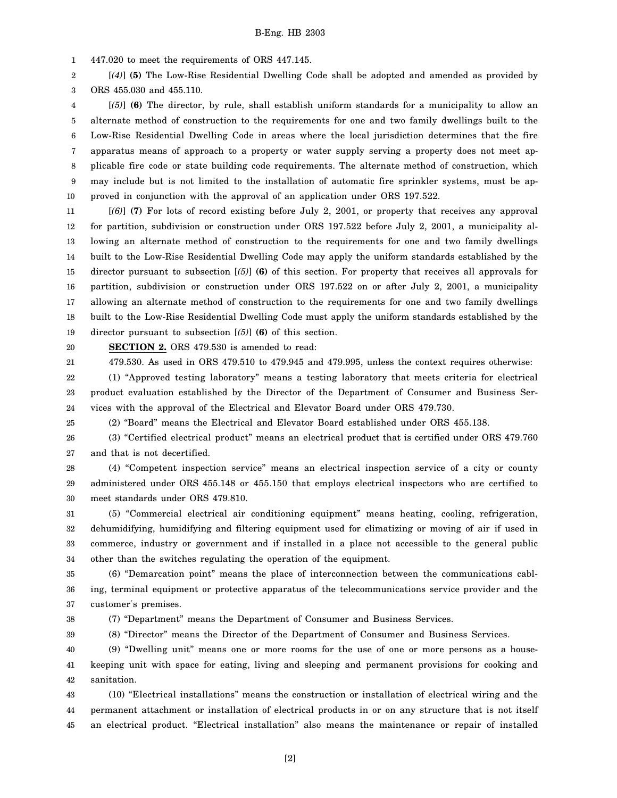1 447.020 to meet the requirements of ORS 447.145.

2 3 [*(4)*] **(5)** The Low-Rise Residential Dwelling Code shall be adopted and amended as provided by ORS 455.030 and 455.110.

4 5 6 7 8 9 10 [*(5)*] **(6)** The director, by rule, shall establish uniform standards for a municipality to allow an alternate method of construction to the requirements for one and two family dwellings built to the Low-Rise Residential Dwelling Code in areas where the local jurisdiction determines that the fire apparatus means of approach to a property or water supply serving a property does not meet applicable fire code or state building code requirements. The alternate method of construction, which may include but is not limited to the installation of automatic fire sprinkler systems, must be approved in conjunction with the approval of an application under ORS 197.522.

11 12 13 14 15 16 17 18 19 [*(6)*] **(7)** For lots of record existing before July 2, 2001, or property that receives any approval for partition, subdivision or construction under ORS 197.522 before July 2, 2001, a municipality allowing an alternate method of construction to the requirements for one and two family dwellings built to the Low-Rise Residential Dwelling Code may apply the uniform standards established by the director pursuant to subsection [*(5)*] **(6)** of this section. For property that receives all approvals for partition, subdivision or construction under ORS 197.522 on or after July 2, 2001, a municipality allowing an alternate method of construction to the requirements for one and two family dwellings built to the Low-Rise Residential Dwelling Code must apply the uniform standards established by the director pursuant to subsection [*(5)*] **(6)** of this section.

20 21

25

**SECTION 2.** ORS 479.530 is amended to read:

479.530. As used in ORS 479.510 to 479.945 and 479.995, unless the context requires otherwise:

22 23 24 (1) "Approved testing laboratory" means a testing laboratory that meets criteria for electrical product evaluation established by the Director of the Department of Consumer and Business Services with the approval of the Electrical and Elevator Board under ORS 479.730.

(2) "Board" means the Electrical and Elevator Board established under ORS 455.138.

26 27 (3) "Certified electrical product" means an electrical product that is certified under ORS 479.760 and that is not decertified.

28 29 30 (4) "Competent inspection service" means an electrical inspection service of a city or county administered under ORS 455.148 or 455.150 that employs electrical inspectors who are certified to meet standards under ORS 479.810.

31 32 33 34 (5) "Commercial electrical air conditioning equipment" means heating, cooling, refrigeration, dehumidifying, humidifying and filtering equipment used for climatizing or moving of air if used in commerce, industry or government and if installed in a place not accessible to the general public other than the switches regulating the operation of the equipment.

35 36 37 (6) "Demarcation point" means the place of interconnection between the communications cabling, terminal equipment or protective apparatus of the telecommunications service provider and the customer′s premises.

38

(7) "Department" means the Department of Consumer and Business Services.

39 (8) "Director" means the Director of the Department of Consumer and Business Services.

40 41 42 (9) "Dwelling unit" means one or more rooms for the use of one or more persons as a housekeeping unit with space for eating, living and sleeping and permanent provisions for cooking and sanitation.

43 44 45 (10) "Electrical installations" means the construction or installation of electrical wiring and the permanent attachment or installation of electrical products in or on any structure that is not itself an electrical product. "Electrical installation" also means the maintenance or repair of installed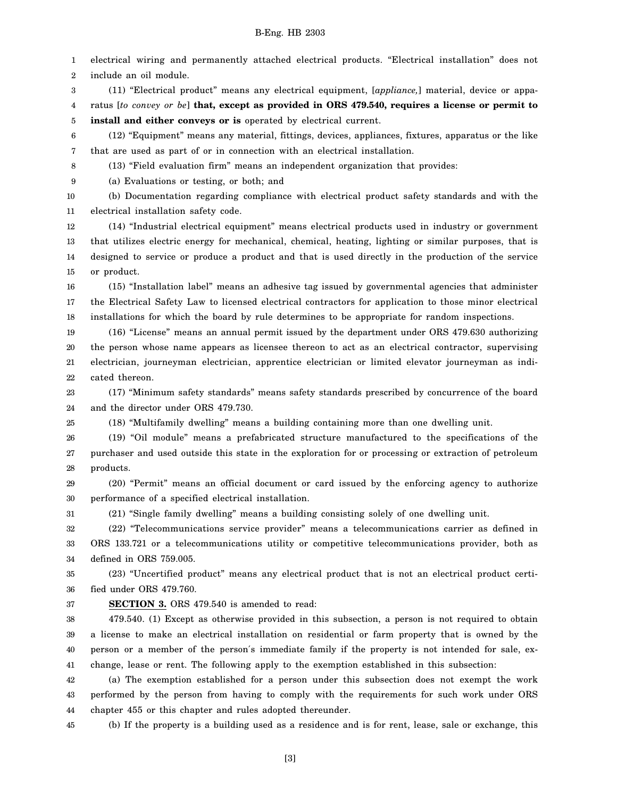1 2 electrical wiring and permanently attached electrical products. "Electrical installation" does not include an oil module.

3 4 5 (11) "Electrical product" means any electrical equipment, [*appliance,*] material, device or apparatus [*to convey or be*] **that, except as provided in ORS 479.540, requires a license or permit to install and either conveys or is** operated by electrical current.

6 7 (12) "Equipment" means any material, fittings, devices, appliances, fixtures, apparatus or the like that are used as part of or in connection with an electrical installation.

(13) "Field evaluation firm" means an independent organization that provides:

9 (a) Evaluations or testing, or both; and

8

10 11 (b) Documentation regarding compliance with electrical product safety standards and with the electrical installation safety code.

12 13 14 15 (14) "Industrial electrical equipment" means electrical products used in industry or government that utilizes electric energy for mechanical, chemical, heating, lighting or similar purposes, that is designed to service or produce a product and that is used directly in the production of the service or product.

16 17 18 (15) "Installation label" means an adhesive tag issued by governmental agencies that administer the Electrical Safety Law to licensed electrical contractors for application to those minor electrical installations for which the board by rule determines to be appropriate for random inspections.

19 20 21 22 (16) "License" means an annual permit issued by the department under ORS 479.630 authorizing the person whose name appears as licensee thereon to act as an electrical contractor, supervising electrician, journeyman electrician, apprentice electrician or limited elevator journeyman as indicated thereon.

23 24 (17) "Minimum safety standards" means safety standards prescribed by concurrence of the board and the director under ORS 479.730.

(18) "Multifamily dwelling" means a building containing more than one dwelling unit.

26 27 28 (19) "Oil module" means a prefabricated structure manufactured to the specifications of the purchaser and used outside this state in the exploration for or processing or extraction of petroleum products.

29 30 (20) "Permit" means an official document or card issued by the enforcing agency to authorize performance of a specified electrical installation.

31 (21) "Single family dwelling" means a building consisting solely of one dwelling unit.

32 33 34 (22) "Telecommunications service provider" means a telecommunications carrier as defined in ORS 133.721 or a telecommunications utility or competitive telecommunications provider, both as defined in ORS 759.005.

35 36 (23) "Uncertified product" means any electrical product that is not an electrical product certified under ORS 479.760.

37

25

**SECTION 3.** ORS 479.540 is amended to read:

38 39 40 41 479.540. (1) Except as otherwise provided in this subsection, a person is not required to obtain a license to make an electrical installation on residential or farm property that is owned by the person or a member of the person′s immediate family if the property is not intended for sale, exchange, lease or rent. The following apply to the exemption established in this subsection:

42 43 44 (a) The exemption established for a person under this subsection does not exempt the work performed by the person from having to comply with the requirements for such work under ORS chapter 455 or this chapter and rules adopted thereunder.

45 (b) If the property is a building used as a residence and is for rent, lease, sale or exchange, this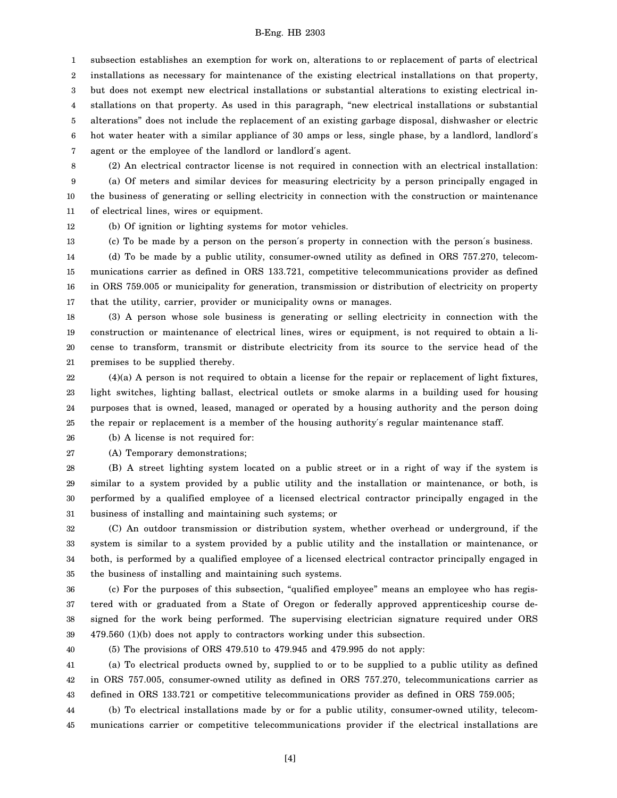1 2 3 4 5 6 7 subsection establishes an exemption for work on, alterations to or replacement of parts of electrical installations as necessary for maintenance of the existing electrical installations on that property, but does not exempt new electrical installations or substantial alterations to existing electrical installations on that property. As used in this paragraph, "new electrical installations or substantial alterations" does not include the replacement of an existing garbage disposal, dishwasher or electric hot water heater with a similar appliance of 30 amps or less, single phase, by a landlord, landlord's agent or the employee of the landlord or landlord′s agent.

8 9 (2) An electrical contractor license is not required in connection with an electrical installation: (a) Of meters and similar devices for measuring electricity by a person principally engaged in

10 11 the business of generating or selling electricity in connection with the construction or maintenance of electrical lines, wires or equipment.

12 (b) Of ignition or lighting systems for motor vehicles.

13 (c) To be made by a person on the person′s property in connection with the person′s business.

14 15 16 17 (d) To be made by a public utility, consumer-owned utility as defined in ORS 757.270, telecommunications carrier as defined in ORS 133.721, competitive telecommunications provider as defined in ORS 759.005 or municipality for generation, transmission or distribution of electricity on property that the utility, carrier, provider or municipality owns or manages.

18 19 20 21 (3) A person whose sole business is generating or selling electricity in connection with the construction or maintenance of electrical lines, wires or equipment, is not required to obtain a license to transform, transmit or distribute electricity from its source to the service head of the premises to be supplied thereby.

22 23 24 25 (4)(a) A person is not required to obtain a license for the repair or replacement of light fixtures, light switches, lighting ballast, electrical outlets or smoke alarms in a building used for housing purposes that is owned, leased, managed or operated by a housing authority and the person doing the repair or replacement is a member of the housing authority′s regular maintenance staff.

26 (b) A license is not required for:

27 (A) Temporary demonstrations;

28 29 30 31 (B) A street lighting system located on a public street or in a right of way if the system is similar to a system provided by a public utility and the installation or maintenance, or both, is performed by a qualified employee of a licensed electrical contractor principally engaged in the business of installing and maintaining such systems; or

32 33 34 35 (C) An outdoor transmission or distribution system, whether overhead or underground, if the system is similar to a system provided by a public utility and the installation or maintenance, or both, is performed by a qualified employee of a licensed electrical contractor principally engaged in the business of installing and maintaining such systems.

36 37 38 39 (c) For the purposes of this subsection, "qualified employee" means an employee who has registered with or graduated from a State of Oregon or federally approved apprenticeship course designed for the work being performed. The supervising electrician signature required under ORS 479.560 (1)(b) does not apply to contractors working under this subsection.

40

(5) The provisions of ORS 479.510 to 479.945 and 479.995 do not apply:

41 42 43 (a) To electrical products owned by, supplied to or to be supplied to a public utility as defined in ORS 757.005, consumer-owned utility as defined in ORS 757.270, telecommunications carrier as defined in ORS 133.721 or competitive telecommunications provider as defined in ORS 759.005;

44 45 (b) To electrical installations made by or for a public utility, consumer-owned utility, telecommunications carrier or competitive telecommunications provider if the electrical installations are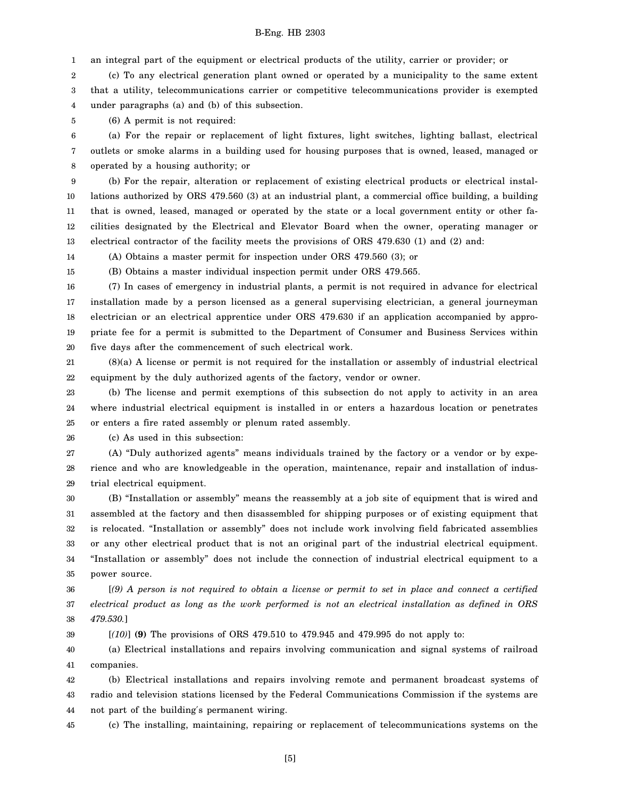1 an integral part of the equipment or electrical products of the utility, carrier or provider; or

2 3 4 (c) To any electrical generation plant owned or operated by a municipality to the same extent that a utility, telecommunications carrier or competitive telecommunications provider is exempted under paragraphs (a) and (b) of this subsection.

5 (6) A permit is not required:

6 7 8 (a) For the repair or replacement of light fixtures, light switches, lighting ballast, electrical outlets or smoke alarms in a building used for housing purposes that is owned, leased, managed or operated by a housing authority; or

9 10 11 12 13 (b) For the repair, alteration or replacement of existing electrical products or electrical installations authorized by ORS 479.560 (3) at an industrial plant, a commercial office building, a building that is owned, leased, managed or operated by the state or a local government entity or other facilities designated by the Electrical and Elevator Board when the owner, operating manager or electrical contractor of the facility meets the provisions of ORS 479.630 (1) and (2) and:

14 (A) Obtains a master permit for inspection under ORS 479.560 (3); or

15

39

(B) Obtains a master individual inspection permit under ORS 479.565.

16 17 18 19 20 (7) In cases of emergency in industrial plants, a permit is not required in advance for electrical installation made by a person licensed as a general supervising electrician, a general journeyman electrician or an electrical apprentice under ORS 479.630 if an application accompanied by appropriate fee for a permit is submitted to the Department of Consumer and Business Services within five days after the commencement of such electrical work.

21 22 (8)(a) A license or permit is not required for the installation or assembly of industrial electrical equipment by the duly authorized agents of the factory, vendor or owner.

23 24 25 (b) The license and permit exemptions of this subsection do not apply to activity in an area where industrial electrical equipment is installed in or enters a hazardous location or penetrates or enters a fire rated assembly or plenum rated assembly.

26 (c) As used in this subsection:

27 28 29 (A) "Duly authorized agents" means individuals trained by the factory or a vendor or by experience and who are knowledgeable in the operation, maintenance, repair and installation of industrial electrical equipment.

30 31 32 33 34 35 (B) "Installation or assembly" means the reassembly at a job site of equipment that is wired and assembled at the factory and then disassembled for shipping purposes or of existing equipment that is relocated. "Installation or assembly" does not include work involving field fabricated assemblies or any other electrical product that is not an original part of the industrial electrical equipment. "Installation or assembly" does not include the connection of industrial electrical equipment to a power source.

36 37 38 [*(9) A person is not required to obtain a license or permit to set in place and connect a certified electrical product as long as the work performed is not an electrical installation as defined in ORS 479.530.*]

[*(10)*] **(9)** The provisions of ORS 479.510 to 479.945 and 479.995 do not apply to:

40 41 (a) Electrical installations and repairs involving communication and signal systems of railroad companies.

42 43 44 (b) Electrical installations and repairs involving remote and permanent broadcast systems of radio and television stations licensed by the Federal Communications Commission if the systems are not part of the building′s permanent wiring.

45 (c) The installing, maintaining, repairing or replacement of telecommunications systems on the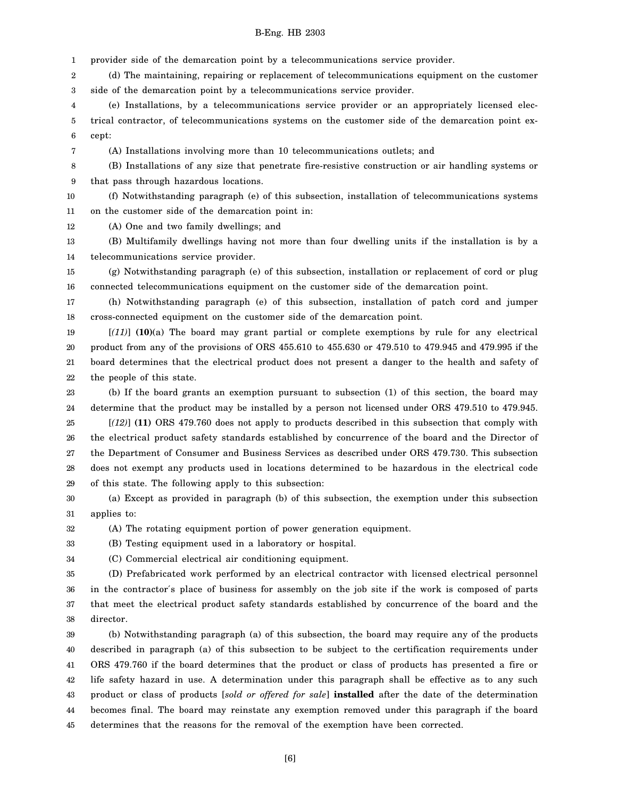1 provider side of the demarcation point by a telecommunications service provider.

2 3 (d) The maintaining, repairing or replacement of telecommunications equipment on the customer side of the demarcation point by a telecommunications service provider.

4 5 6 (e) Installations, by a telecommunications service provider or an appropriately licensed electrical contractor, of telecommunications systems on the customer side of the demarcation point except:

(A) Installations involving more than 10 telecommunications outlets; and

8 9 (B) Installations of any size that penetrate fire-resistive construction or air handling systems or that pass through hazardous locations.

10 11 (f) Notwithstanding paragraph (e) of this subsection, installation of telecommunications systems on the customer side of the demarcation point in:

12 (A) One and two family dwellings; and

7

13 14 (B) Multifamily dwellings having not more than four dwelling units if the installation is by a telecommunications service provider.

15 16 (g) Notwithstanding paragraph (e) of this subsection, installation or replacement of cord or plug connected telecommunications equipment on the customer side of the demarcation point.

17 18 (h) Notwithstanding paragraph (e) of this subsection, installation of patch cord and jumper cross-connected equipment on the customer side of the demarcation point.

19 20 21 22 [*(11)*] **(10)**(a) The board may grant partial or complete exemptions by rule for any electrical product from any of the provisions of ORS 455.610 to 455.630 or 479.510 to 479.945 and 479.995 if the board determines that the electrical product does not present a danger to the health and safety of the people of this state.

23 24 (b) If the board grants an exemption pursuant to subsection (1) of this section, the board may determine that the product may be installed by a person not licensed under ORS 479.510 to 479.945.

25 26 27 28 29 [*(12)*] **(11)** ORS 479.760 does not apply to products described in this subsection that comply with the electrical product safety standards established by concurrence of the board and the Director of the Department of Consumer and Business Services as described under ORS 479.730. This subsection does not exempt any products used in locations determined to be hazardous in the electrical code of this state. The following apply to this subsection:

30 31 (a) Except as provided in paragraph (b) of this subsection, the exemption under this subsection applies to:

32 (A) The rotating equipment portion of power generation equipment.

33 (B) Testing equipment used in a laboratory or hospital.

34 (C) Commercial electrical air conditioning equipment.

35 36 37 38 (D) Prefabricated work performed by an electrical contractor with licensed electrical personnel in the contractor′s place of business for assembly on the job site if the work is composed of parts that meet the electrical product safety standards established by concurrence of the board and the director.

39 40 41 42 43 44 45 (b) Notwithstanding paragraph (a) of this subsection, the board may require any of the products described in paragraph (a) of this subsection to be subject to the certification requirements under ORS 479.760 if the board determines that the product or class of products has presented a fire or life safety hazard in use. A determination under this paragraph shall be effective as to any such product or class of products [*sold or offered for sale*] **installed** after the date of the determination becomes final. The board may reinstate any exemption removed under this paragraph if the board determines that the reasons for the removal of the exemption have been corrected.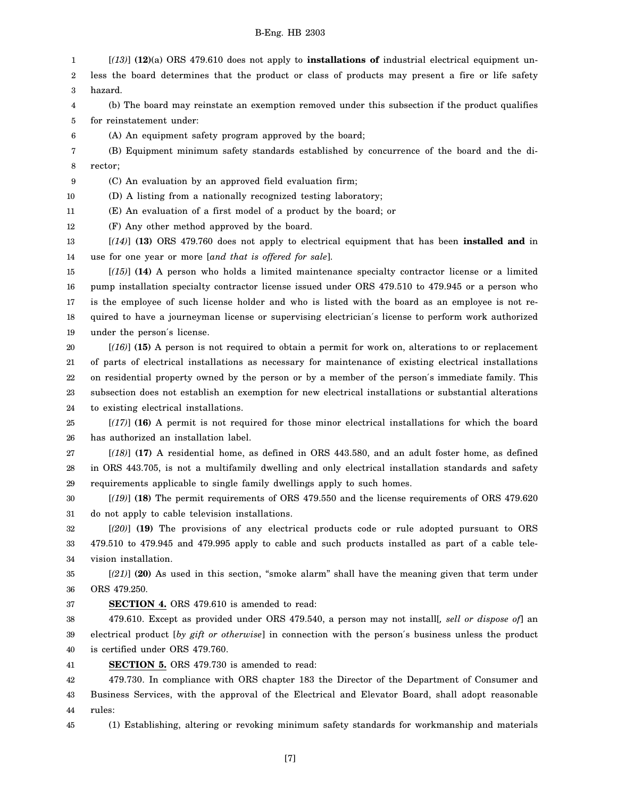1 2 3 4 5 6 7 8 9 10 [*(13)*] **(12)**(a) ORS 479.610 does not apply to **installations of** industrial electrical equipment unless the board determines that the product or class of products may present a fire or life safety hazard. (b) The board may reinstate an exemption removed under this subsection if the product qualifies for reinstatement under: (A) An equipment safety program approved by the board; (B) Equipment minimum safety standards established by concurrence of the board and the director; (C) An evaluation by an approved field evaluation firm; (D) A listing from a nationally recognized testing laboratory;

11 (E) An evaluation of a first model of a product by the board; or

12 (F) Any other method approved by the board.

13 14 [*(14)*] **(13)** ORS 479.760 does not apply to electrical equipment that has been **installed and** in use for one year or more [*and that is offered for sale*].

15 16 17 18 19 [*(15)*] **(14)** A person who holds a limited maintenance specialty contractor license or a limited pump installation specialty contractor license issued under ORS 479.510 to 479.945 or a person who is the employee of such license holder and who is listed with the board as an employee is not required to have a journeyman license or supervising electrician′s license to perform work authorized under the person′s license.

20 21 22 23 24 [*(16)*] **(15)** A person is not required to obtain a permit for work on, alterations to or replacement of parts of electrical installations as necessary for maintenance of existing electrical installations on residential property owned by the person or by a member of the person′s immediate family. This subsection does not establish an exemption for new electrical installations or substantial alterations to existing electrical installations.

25 26 [*(17)*] **(16)** A permit is not required for those minor electrical installations for which the board has authorized an installation label.

27 28 29 [*(18)*] **(17)** A residential home, as defined in ORS 443.580, and an adult foster home, as defined in ORS 443.705, is not a multifamily dwelling and only electrical installation standards and safety requirements applicable to single family dwellings apply to such homes.

30 31 [*(19)*] **(18)** The permit requirements of ORS 479.550 and the license requirements of ORS 479.620 do not apply to cable television installations.

32 33 34 [*(20)*] **(19)** The provisions of any electrical products code or rule adopted pursuant to ORS 479.510 to 479.945 and 479.995 apply to cable and such products installed as part of a cable television installation.

35 36 [*(21)*] **(20)** As used in this section, "smoke alarm" shall have the meaning given that term under ORS 479.250.

37 **SECTION 4.** ORS 479.610 is amended to read:

38 39 40 479.610. Except as provided under ORS 479.540, a person may not install[*, sell or dispose of*] an electrical product [*by gift or otherwise*] in connection with the person′s business unless the product is certified under ORS 479.760.

41 **SECTION 5.** ORS 479.730 is amended to read:

42 43 44 479.730. In compliance with ORS chapter 183 the Director of the Department of Consumer and Business Services, with the approval of the Electrical and Elevator Board, shall adopt reasonable rules:

45 (1) Establishing, altering or revoking minimum safety standards for workmanship and materials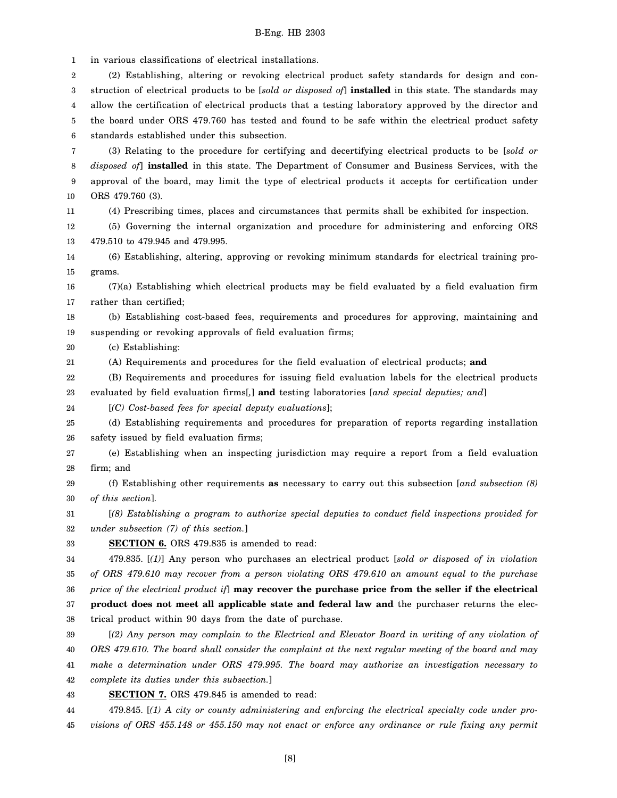1 in various classifications of electrical installations.

2 3 4 5 6 (2) Establishing, altering or revoking electrical product safety standards for design and construction of electrical products to be [*sold or disposed of*] **installed** in this state. The standards may allow the certification of electrical products that a testing laboratory approved by the director and the board under ORS 479.760 has tested and found to be safe within the electrical product safety standards established under this subsection.

7 8 9 10 (3) Relating to the procedure for certifying and decertifying electrical products to be [*sold or disposed of*] **installed** in this state. The Department of Consumer and Business Services, with the approval of the board, may limit the type of electrical products it accepts for certification under ORS 479.760 (3).

(4) Prescribing times, places and circumstances that permits shall be exhibited for inspection.

12 13 (5) Governing the internal organization and procedure for administering and enforcing ORS 479.510 to 479.945 and 479.995.

14 15 (6) Establishing, altering, approving or revoking minimum standards for electrical training programs.

16 17 (7)(a) Establishing which electrical products may be field evaluated by a field evaluation firm rather than certified;

18 19 (b) Establishing cost-based fees, requirements and procedures for approving, maintaining and suspending or revoking approvals of field evaluation firms;

20 (c) Establishing:

11

21 (A) Requirements and procedures for the field evaluation of electrical products; **and**

22 23 (B) Requirements and procedures for issuing field evaluation labels for the electrical products evaluated by field evaluation firms[*,*] **and** testing laboratories [*and special deputies; and*]

24 [*(C) Cost-based fees for special deputy evaluations*];

25 26 (d) Establishing requirements and procedures for preparation of reports regarding installation safety issued by field evaluation firms;

27 28 (e) Establishing when an inspecting jurisdiction may require a report from a field evaluation firm; and

29 30 (f) Establishing other requirements **as** necessary to carry out this subsection [*and subsection (8) of this section*].

31 32 [*(8) Establishing a program to authorize special deputies to conduct field inspections provided for under subsection (7) of this section.*]

33 **SECTION 6.** ORS 479.835 is amended to read:

34 35 36 37 38 479.835. [*(1)*] Any person who purchases an electrical product [*sold or disposed of in violation of ORS 479.610 may recover from a person violating ORS 479.610 an amount equal to the purchase price of the electrical product if*] **may recover the purchase price from the seller if the electrical product does not meet all applicable state and federal law and** the purchaser returns the electrical product within 90 days from the date of purchase.

39 40 41 42 [*(2) Any person may complain to the Electrical and Elevator Board in writing of any violation of ORS 479.610. The board shall consider the complaint at the next regular meeting of the board and may make a determination under ORS 479.995. The board may authorize an investigation necessary to complete its duties under this subsection.*]

43 **SECTION 7.** ORS 479.845 is amended to read:

44 45 479.845. [*(1) A city or county administering and enforcing the electrical specialty code under provisions of ORS 455.148 or 455.150 may not enact or enforce any ordinance or rule fixing any permit*